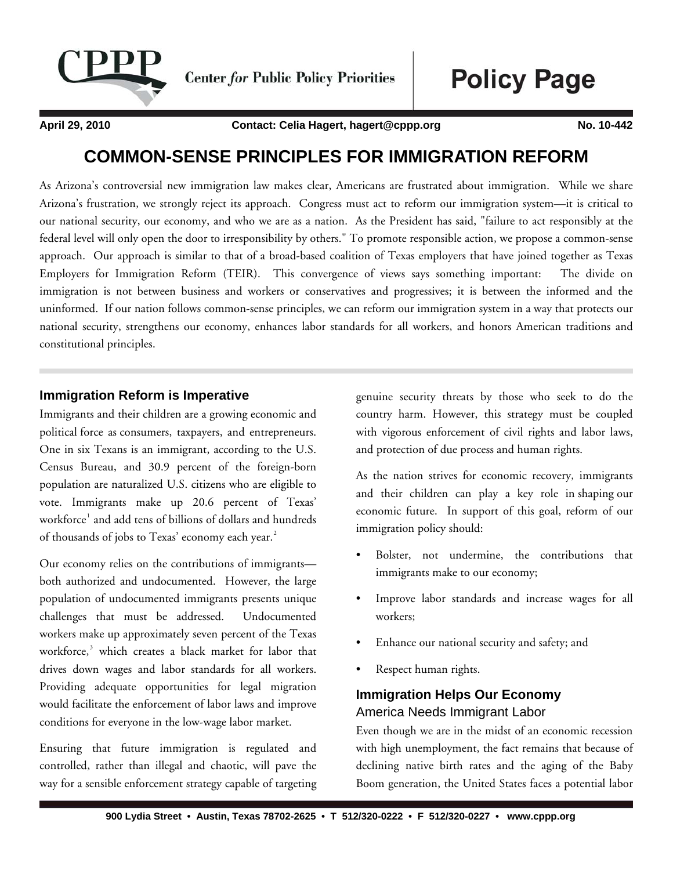

**Center for Public Policy Priorities** 

**Policy Page** 

**April 29, 2010 Contact: Celia Hagert, hagert@cppp.org No. 10-442**

# **COMMON-SENSE PRINCIPLES FOR IMMIGRATION REFORM**

As Arizona's controversial new immigration law makes clear, Americans are frustrated about immigration. While we share Arizona's frustration, we strongly reject its approach. Congress must act to reform our immigration system—it is critical to our national security, our economy, and who we are as a nation. As the President has said, "failure to act responsibly at the federal level will only open the door to irresponsibility by others." To promote responsible action, we propose a common-sense approach. Our approach is similar to that of a broad-based coalition of Texas employers that have joined together as Texas Employers for Immigration Reform (TEIR). This convergence of views says something important: The divide on immigration is not between business and workers or conservatives and progressives; it is between the informed and the uninformed. If our nation follows common-sense principles, we can reform our immigration system in a way that protects our national security, strengthens our economy, enhances labor standards for all workers, and honors American traditions and constitutional principles.

#### **Immigration Reform is Imperative**

Immigrants and their children are a growing economic and political force as consumers, taxpayers, and entrepreneurs. One in six Texans is an immigrant, according to the U.S. Census Bureau, and 30.9 percent of the foreign-born population are naturalized U.S. citizens who are eligible to vote. Immigrants make up 20.6 percent of Texas' workforce<sup>[1](#page-4-0)</sup> and add tens of billions of dollars and hundreds of thousands of jobs to Texas' economy each year. $^2$  $^2$ 

Our economy relies on the contributions of immigrants both authorized and undocumented. However, the large population of undocumented immigrants presents unique challenges that must be addressed. Undocumented workers make up approximately seven percent of the Texas workforce,<sup>[3](#page-4-1)</sup> which creates a black market for labor that drives down wages and labor standards for all workers. Providing adequate opportunities for legal migration would facilitate the enforcement of labor laws and improve conditions for everyone in the low-wage labor market.

Ensuring that future immigration is regulated and controlled, rather than illegal and chaotic, will pave the way for a sensible enforcement strategy capable of targeting genuine security threats by those who seek to do the country harm. However, this strategy must be coupled with vigorous enforcement of civil rights and labor laws, and protection of due process and human rights.

As the nation strives for economic recovery, immigrants and their children can play a key role in shaping our economic future. In support of this goal, reform of our immigration policy should:

- Bolster, not undermine, the contributions that immigrants make to our economy;
- Improve labor standards and increase wages for all workers;
- Enhance our national security and safety; and
- Respect human rights.

# **Immigration Helps Our Economy**  America Needs Immigrant Labor

Even though we are in the midst of an economic recession with high unemployment, the fact remains that because of declining native birth rates and the aging of the Baby Boom generation, the United States faces a potential labor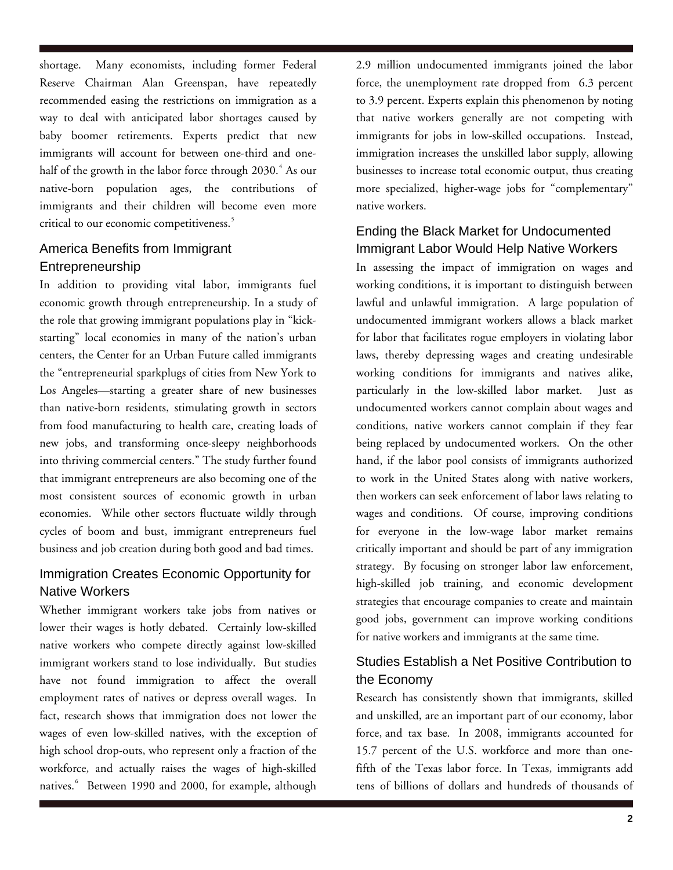shortage. Many economists, including former Federal Reserve Chairman Alan Greenspan, have repeatedly recommended easing the restrictions on immigration as a way to deal with anticipated labor shortages caused by baby boomer retirements. Experts predict that new immigrants will account for between one-third and onehalf of the growth in the labor force through 2030. $^4$  $^4$  As our native-born population ages, the contributions of immigrants and their children will become even more critical to our economic competitiveness.<sup>[5](#page-4-1)</sup>

### America Benefits from Immigrant Entrepreneurship

In addition to providing vital labor, immigrants fuel economic growth through entrepreneurship. In a study of the role that growing immigrant populations play in "kickstarting" local economies in many of the nation's urban centers, the Center for an Urban Future called immigrants the "entrepreneurial sparkplugs of cities from New York to Los Angeles—starting a greater share of new businesses than native-born residents, stimulating growth in sectors from food manufacturing to health care, creating loads of new jobs, and transforming once-sleepy neighborhoods into thriving commercial centers." The study further found that immigrant entrepreneurs are also becoming one of the most consistent sources of economic growth in urban economies. While other sectors fluctuate wildly through cycles of boom and bust, immigrant entrepreneurs fuel business and job creation during both good and bad times.

# Immigration Creates Economic Opportunity for Native Workers

Whether immigrant workers take jobs from natives or lower their wages is hotly debated. Certainly low-skilled native workers who compete directly against low-skilled immigrant workers stand to lose individually. But studies have not found immigration to affect the overall employment rates of natives or depress overall wages. In fact, research shows that immigration does not lower the wages of even low-skilled natives, with the exception of high school drop-outs, who represent only a fraction of the workforce, and actually raises the wages of high-skilled natives.<sup>[6](#page-4-1)</sup> Between 1990 and 2000, for example, although

2.9 million undocumented immigrants joined the labor force, the unemployment rate dropped from 6.3 percent to 3.9 percent. Experts explain this phenomenon by noting that native workers generally are not competing with immigrants for jobs in low-skilled occupations. Instead, immigration increases the unskilled labor supply, allowing businesses to increase total economic output, thus creating more specialized, higher-wage jobs for "complementary" native workers.

# Ending the Black Market for Undocumented Immigrant Labor Would Help Native Workers

In assessing the impact of immigration on wages and working conditions, it is important to distinguish between lawful and unlawful immigration. A large population of undocumented immigrant workers allows a black market for labor that facilitates rogue employers in violating labor laws, thereby depressing wages and creating undesirable working conditions for immigrants and natives alike, particularly in the low-skilled labor market. Just as undocumented workers cannot complain about wages and conditions, native workers cannot complain if they fear being replaced by undocumented workers. On the other hand, if the labor pool consists of immigrants authorized to work in the United States along with native workers, then workers can seek enforcement of labor laws relating to wages and conditions. Of course, improving conditions for everyone in the low-wage labor market remains critically important and should be part of any immigration strategy. By focusing on stronger labor law enforcement, high-skilled job training, and economic development strategies that encourage companies to create and maintain good jobs, government can improve working conditions for native workers and immigrants at the same time.

# Studies Establish a Net Positive Contribution to the Economy

Research has consistently shown that immigrants, skilled and unskilled, are an important part of our economy, labor force, and tax base. In 2008, immigrants accounted for 15.7 percent of the U.S. workforce and more than onefifth of the Texas labor force. In Texas, immigrants add tens of billions of dollars and hundreds of thousands of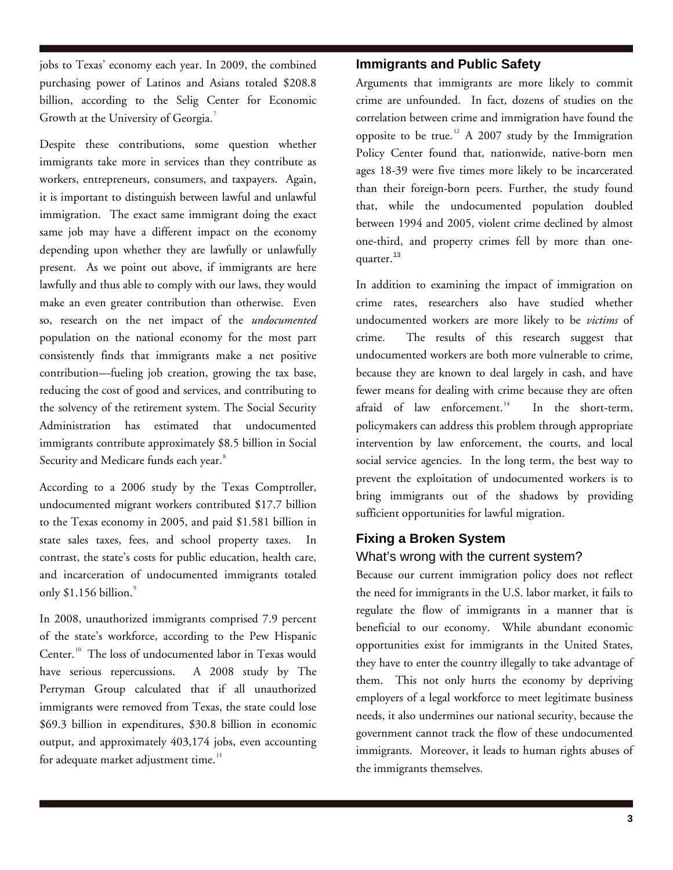jobs to Texas' economy each year. In 2009, the combined purchasing power of Latinos and Asians totaled \$208.8 billion, according to the [Selig Center for Economic](http://www.terry.uga.edu/selig/docs/GBEC0903q.pdf)  [Growth](http://www.terry.uga.edu/selig/docs/GBEC0903q.pdf) at the University of Georgia.<sup>[7](#page-4-1)</sup>

Despite these contributions, some question whether immigrants take more in services than they contribute as workers, entrepreneurs, consumers, and taxpayers. Again, it is important to distinguish between lawful and unlawful immigration. The exact same immigrant doing the exact same job may have a different impact on the economy depending upon whether they are lawfully or unlawfully present. As we point out above, if immigrants are here lawfully and thus able to comply with our laws, they would make an even greater contribution than otherwise. Even so, research on the net impact of the *undocumented* population on the national economy for the most part consistently finds that immigrants make a net positive contribution—fueling job creation, growing the tax base, reducing the cost of good and services, and contributing to the solvency of the retirement system. The Social Security Administration has estimated that undocumented immigrants contribute approximately \$8.5 billion in Social Security and Medicare funds each year.<sup>[8](#page-4-1)</sup>

According to a 2006 study by the Texas Comptroller, undocumented migrant workers contributed \$17.7 billion to the Texas economy in 2005, and paid \$1.581 billion in state sales taxes, fees, and school property taxes. In contrast, the state's costs for public education, health care, and incarceration of undocumented immigrants totaled only  $$1.156$  billion. $^\circ$ 

In 2008, unauthorized immigrants comprised 7.9 percent of the state's workforce, according to the Pew Hispanic Center.<sup>[10](#page-4-1)</sup> The loss of undocumented labor in Texas would have serious repercussions. A 2008 study by The Perryman Group calculated that if all unauthorized immigrants were removed from Texas, the state could lose \$69.3 billion in expenditures, \$30.8 billion in economic output, and approximately 403,174 jobs, even accounting for adequate market adjustment time. $11$ 

#### **Immigrants and Public Safety**

Arguments that immigrants are more likely to commit crime are unfounded. In fact, dozens of studies on the correlation between crime and immigration have found the opposite to be true.<sup>[12](#page-4-1)</sup> A 2007 study by the Immigration Policy Center found that, nationwide, native-born men ages 18-39 were five times more likely to be incarcerated than their foreign-born peers. Further, the study found that, while the undocumented population doubled between 1994 and 2005, violent crime declined by almost one-third, and property crimes fell by more than one-quarter.<sup>[13](#page-4-1)</sup>

In addition to examining the impact of immigration on crime rates, researchers also have studied whether undocumented workers are more likely to be *victims* of crime. The results of this research suggest that undocumented workers are both more vulnerable to crime, because they are known to deal largely in cash, and have fewer means for dealing with crime because they are often afraid of law enforcement.<sup>[14](#page-4-1)</sup> In the short-term, policymakers can address this problem through appropriate intervention by law enforcement, the courts, and local social service agencies. In the long term, the best way to prevent the exploitation of undocumented workers is to bring immigrants out of the shadows by providing sufficient opportunities for lawful migration.

### **Fixing a Broken System**  What's wrong with the current system?

Because our current immigration policy does not reflect the need for immigrants in the U.S. labor market, it fails to regulate the flow of immigrants in a manner that is beneficial to our economy. While abundant economic opportunities exist for immigrants in the United States, they have to enter the country illegally to take advantage of them. This not only hurts the economy by depriving employers of a legal workforce to meet legitimate business needs, it also undermines our national security, because the government cannot track the flow of these undocumented immigrants. Moreover, it leads to human rights abuses of the immigrants themselves.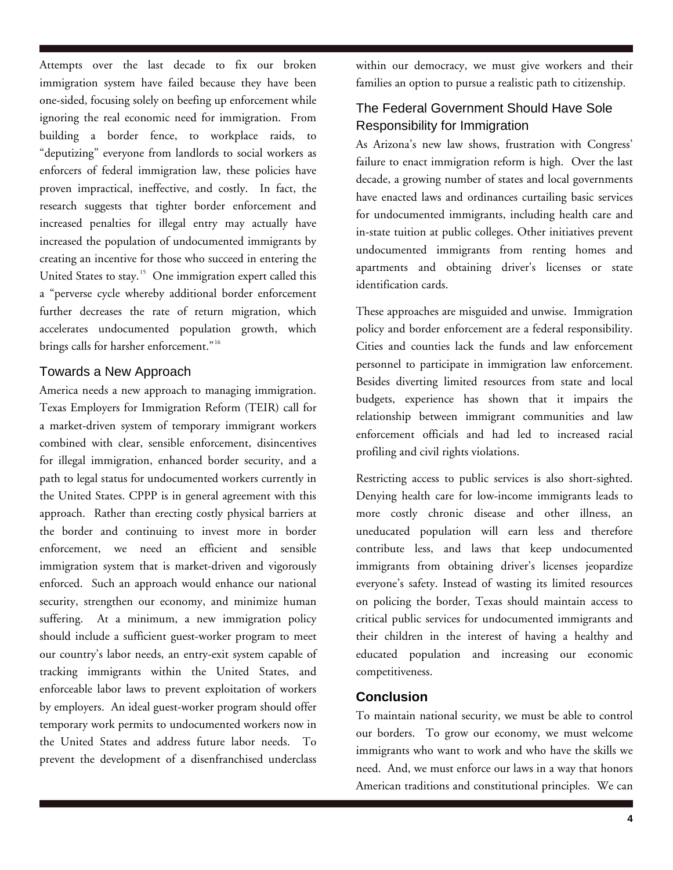Attempts over the last decade to fix our broken immigration system have failed because they have been one-sided, focusing solely on beefing up enforcement while ignoring the real economic need for immigration. From building a border fence, to workplace raids, to "deputizing" everyone from landlords to social workers as enforcers of federal immigration law, these policies have proven impractical, ineffective, and costly. In fact, the research suggests that tighter border enforcement and increased penalties for illegal entry may actually have increased the population of undocumented immigrants by creating an incentive for those who succeed in entering the United States to stay.<sup>[15](#page-4-1)</sup> One immigration expert called this a "perverse cycle whereby additional border enforcement further decreases the rate of return migration, which accelerates undocumented population growth, which brings calls for harsher enforcement."<sup>[16](#page-4-1)</sup>

#### Towards a New Approach

America needs a new approach to managing immigration. Texas Employers for Immigration Reform (TEIR) call for a market-driven system of temporary immigrant workers combined with clear, sensible enforcement, disincentives for illegal immigration, enhanced border security, and a path to legal status for undocumented workers currently in the United States. CPPP is in general agreement with this approach. Rather than erecting costly physical barriers at the border and continuing to invest more in border enforcement, we need an efficient and sensible immigration system that is market-driven and vigorously enforced. Such an approach would enhance our national security, strengthen our economy, and minimize human suffering. At a minimum, a new immigration policy should include a sufficient guest-worker program to meet our country's labor needs, an entry-exit system capable of tracking immigrants within the United States, and enforceable labor laws to prevent exploitation of workers by employers. An ideal guest-worker program should offer temporary work permits to undocumented workers now in the United States and address future labor needs. To prevent the development of a disenfranchised underclass

within our democracy, we must give workers and their families an option to pursue a realistic path to citizenship.

### The Federal Government Should Have Sole Responsibility for Immigration

As Arizona's new law shows, frustration with Congress' failure to enact immigration reform is high. Over the last decade, a growing number of states and local governments have enacted laws and ordinances curtailing basic services for undocumented immigrants, including health care and in-state tuition at public colleges. Other initiatives prevent undocumented immigrants from renting homes and apartments and obtaining driver's licenses or state identification cards.

These approaches are misguided and unwise. Immigration policy and border enforcement are a federal responsibility. Cities and counties lack the funds and law enforcement personnel to participate in immigration law enforcement. Besides diverting limited resources from state and local budgets, experience has shown that it impairs the relationship between immigrant communities and law enforcement officials and had led to increased racial profiling and civil rights violations.

Restricting access to public services is also short-sighted. Denying health care for low-income immigrants leads to more costly chronic disease and other illness, an uneducated population will earn less and therefore contribute less, and laws that keep undocumented immigrants from obtaining driver's licenses jeopardize everyone's safety. Instead of wasting its limited resources on policing the border, Texas should maintain access to critical public services for undocumented immigrants and their children in the interest of having a healthy and educated population and increasing our economic competitiveness.

# **Conclusion**

To maintain national security, we must be able to control our borders. To grow our economy, we must welcome immigrants who want to work and who have the skills we need. And, we must enforce our laws in a way that honors American traditions and constitutional principles. We can